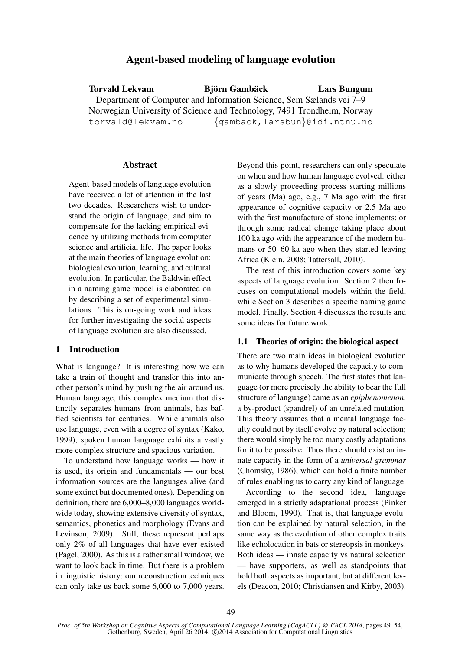# Agent-based modeling of language evolution

Torvald Lekvam in Biörn Gambäck in Ears Bungum Department of Computer and Information Science, Sem Sælands vei 7–9 Norwegian University of Science and Technology, 7491 Trondheim, Norway torvald@lekvam.no {gamback,larsbun}@idi.ntnu.no

## Abstract

Agent-based models of language evolution have received a lot of attention in the last two decades. Researchers wish to understand the origin of language, and aim to compensate for the lacking empirical evidence by utilizing methods from computer science and artificial life. The paper looks at the main theories of language evolution: biological evolution, learning, and cultural evolution. In particular, the Baldwin effect in a naming game model is elaborated on by describing a set of experimental simulations. This is on-going work and ideas for further investigating the social aspects of language evolution are also discussed.

# 1 Introduction

What is language? It is interesting how we can take a train of thought and transfer this into another person's mind by pushing the air around us. Human language, this complex medium that distinctly separates humans from animals, has baffled scientists for centuries. While animals also use language, even with a degree of syntax (Kako, 1999), spoken human language exhibits a vastly more complex structure and spacious variation.

To understand how language works — how it is used, its origin and fundamentals — our best information sources are the languages alive (and some extinct but documented ones). Depending on definition, there are 6,000–8,000 languages worldwide today, showing extensive diversity of syntax, semantics, phonetics and morphology (Evans and Levinson, 2009). Still, these represent perhaps only 2% of all languages that have ever existed (Pagel, 2000). As this is a rather small window, we want to look back in time. But there is a problem in linguistic history: our reconstruction techniques can only take us back some 6,000 to 7,000 years.

Beyond this point, researchers can only speculate on when and how human language evolved: either as a slowly proceeding process starting millions of years (Ma) ago, e.g., 7 Ma ago with the first appearance of cognitive capacity or 2.5 Ma ago with the first manufacture of stone implements; or through some radical change taking place about 100 ka ago with the appearance of the modern humans or 50–60 ka ago when they started leaving Africa (Klein, 2008; Tattersall, 2010).

The rest of this introduction covers some key aspects of language evolution. Section 2 then focuses on computational models within the field, while Section 3 describes a specific naming game model. Finally, Section 4 discusses the results and some ideas for future work.

#### 1.1 Theories of origin: the biological aspect

There are two main ideas in biological evolution as to why humans developed the capacity to communicate through speech. The first states that language (or more precisely the ability to bear the full structure of language) came as an *epiphenomenon*, a by-product (spandrel) of an unrelated mutation. This theory assumes that a mental language faculty could not by itself evolve by natural selection; there would simply be too many costly adaptations for it to be possible. Thus there should exist an innate capacity in the form of a *universal grammar* (Chomsky, 1986), which can hold a finite number of rules enabling us to carry any kind of language.

According to the second idea, language emerged in a strictly adaptational process (Pinker and Bloom, 1990). That is, that language evolution can be explained by natural selection, in the same way as the evolution of other complex traits like echolocation in bats or stereopsis in monkeys. Both ideas — innate capacity vs natural selection — have supporters, as well as standpoints that hold both aspects as important, but at different levels (Deacon, 2010; Christiansen and Kirby, 2003).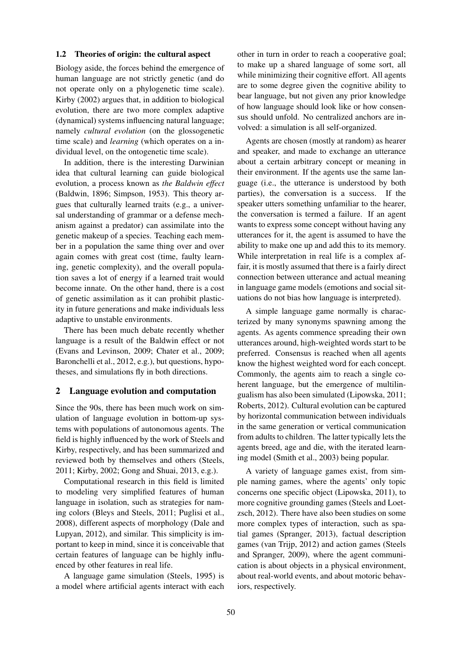#### 1.2 Theories of origin: the cultural aspect

Biology aside, the forces behind the emergence of human language are not strictly genetic (and do not operate only on a phylogenetic time scale). Kirby (2002) argues that, in addition to biological evolution, there are two more complex adaptive (dynamical) systems influencing natural language; namely *cultural evolution* (on the glossogenetic time scale) and *learning* (which operates on a individual level, on the ontogenetic time scale).

In addition, there is the interesting Darwinian idea that cultural learning can guide biological evolution, a process known as *the Baldwin effect* (Baldwin, 1896; Simpson, 1953). This theory argues that culturally learned traits (e.g., a universal understanding of grammar or a defense mechanism against a predator) can assimilate into the genetic makeup of a species. Teaching each member in a population the same thing over and over again comes with great cost (time, faulty learning, genetic complexity), and the overall population saves a lot of energy if a learned trait would become innate. On the other hand, there is a cost of genetic assimilation as it can prohibit plasticity in future generations and make individuals less adaptive to unstable environments.

There has been much debate recently whether language is a result of the Baldwin effect or not (Evans and Levinson, 2009; Chater et al., 2009; Baronchelli et al., 2012, e.g.), but questions, hypotheses, and simulations fly in both directions.

### 2 Language evolution and computation

Since the 90s, there has been much work on simulation of language evolution in bottom-up systems with populations of autonomous agents. The field is highly influenced by the work of Steels and Kirby, respectively, and has been summarized and reviewed both by themselves and others (Steels, 2011; Kirby, 2002; Gong and Shuai, 2013, e.g.).

Computational research in this field is limited to modeling very simplified features of human language in isolation, such as strategies for naming colors (Bleys and Steels, 2011; Puglisi et al., 2008), different aspects of morphology (Dale and Lupyan, 2012), and similar. This simplicity is important to keep in mind, since it is conceivable that certain features of language can be highly influenced by other features in real life.

A language game simulation (Steels, 1995) is a model where artificial agents interact with each

other in turn in order to reach a cooperative goal; to make up a shared language of some sort, all while minimizing their cognitive effort. All agents are to some degree given the cognitive ability to bear language, but not given any prior knowledge of how language should look like or how consensus should unfold. No centralized anchors are involved: a simulation is all self-organized.

Agents are chosen (mostly at random) as hearer and speaker, and made to exchange an utterance about a certain arbitrary concept or meaning in their environment. If the agents use the same language (i.e., the utterance is understood by both parties), the conversation is a success. If the speaker utters something unfamiliar to the hearer, the conversation is termed a failure. If an agent wants to express some concept without having any utterances for it, the agent is assumed to have the ability to make one up and add this to its memory. While interpretation in real life is a complex affair, it is mostly assumed that there is a fairly direct connection between utterance and actual meaning in language game models (emotions and social situations do not bias how language is interpreted).

A simple language game normally is characterized by many synonyms spawning among the agents. As agents commence spreading their own utterances around, high-weighted words start to be preferred. Consensus is reached when all agents know the highest weighted word for each concept. Commonly, the agents aim to reach a single coherent language, but the emergence of multilingualism has also been simulated (Lipowska, 2011; Roberts, 2012). Cultural evolution can be captured by horizontal communication between individuals in the same generation or vertical communication from adults to children. The latter typically lets the agents breed, age and die, with the iterated learning model (Smith et al., 2003) being popular.

A variety of language games exist, from simple naming games, where the agents' only topic concerns one specific object (Lipowska, 2011), to more cognitive grounding games (Steels and Loetzsch, 2012). There have also been studies on some more complex types of interaction, such as spatial games (Spranger, 2013), factual description games (van Trijp, 2012) and action games (Steels and Spranger, 2009), where the agent communication is about objects in a physical environment, about real-world events, and about motoric behaviors, respectively.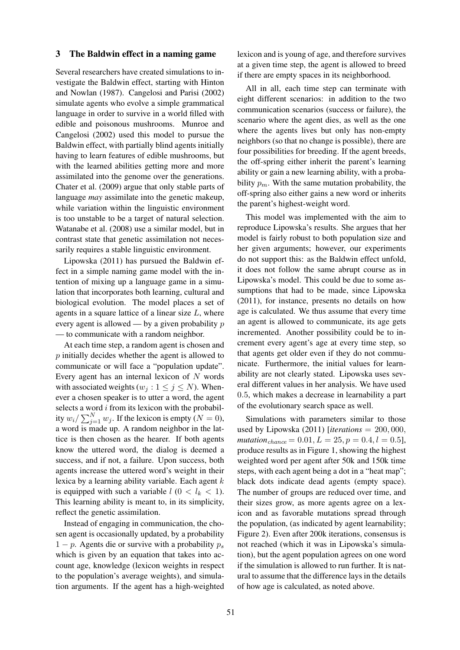#### 3 The Baldwin effect in a naming game

Several researchers have created simulations to investigate the Baldwin effect, starting with Hinton and Nowlan (1987). Cangelosi and Parisi (2002) simulate agents who evolve a simple grammatical language in order to survive in a world filled with edible and poisonous mushrooms. Munroe and Cangelosi (2002) used this model to pursue the Baldwin effect, with partially blind agents initially having to learn features of edible mushrooms, but with the learned abilities getting more and more assimilated into the genome over the generations. Chater et al. (2009) argue that only stable parts of language *may* assimilate into the genetic makeup, while variation within the linguistic environment is too unstable to be a target of natural selection. Watanabe et al. (2008) use a similar model, but in contrast state that genetic assimilation not necessarily requires a stable linguistic environment.

Lipowska (2011) has pursued the Baldwin effect in a simple naming game model with the intention of mixing up a language game in a simulation that incorporates both learning, cultural and biological evolution. The model places a set of agents in a square lattice of a linear size  $L$ , where every agent is allowed — by a given probability  $p$ — to communicate with a random neighbor.

At each time step, a random agent is chosen and p initially decides whether the agent is allowed to communicate or will face a "population update". Every agent has an internal lexicon of  $N$  words with associated weights ( $w_i : 1 \leq j \leq N$ ). Whenever a chosen speaker is to utter a word, the agent selects a word  $i$  from its lexicon with the probability  $w_i / \sum_{j=1}^{N} w_j$ . If the lexicon is empty ( $N = 0$ ), a word is made up. A random neighbor in the lattice is then chosen as the hearer. If both agents know the uttered word, the dialog is deemed a success, and if not, a failure. Upon success, both agents increase the uttered word's weight in their lexica by a learning ability variable. Each agent  $k$ is equipped with such a variable  $l$  ( $0 < l_k < 1$ ). This learning ability is meant to, in its simplicity, reflect the genetic assimilation.

Instead of engaging in communication, the chosen agent is occasionally updated, by a probability  $1 - p$ . Agents die or survive with a probability  $p_s$ which is given by an equation that takes into account age, knowledge (lexicon weights in respect to the population's average weights), and simulation arguments. If the agent has a high-weighted

lexicon and is young of age, and therefore survives at a given time step, the agent is allowed to breed if there are empty spaces in its neighborhood.

All in all, each time step can terminate with eight different scenarios: in addition to the two communication scenarios (success or failure), the scenario where the agent dies, as well as the one where the agents lives but only has non-empty neighbors (so that no change is possible), there are four possibilities for breeding. If the agent breeds, the off-spring either inherit the parent's learning ability or gain a new learning ability, with a probability  $p_m$ . With the same mutation probability, the off-spring also either gains a new word or inherits the parent's highest-weight word.

This model was implemented with the aim to reproduce Lipowska's results. She argues that her model is fairly robust to both population size and her given arguments; however, our experiments do not support this: as the Baldwin effect unfold, it does not follow the same abrupt course as in Lipowska's model. This could be due to some assumptions that had to be made, since Lipowska (2011), for instance, presents no details on how age is calculated. We thus assume that every time an agent is allowed to communicate, its age gets incremented. Another possibility could be to increment every agent's age at every time step, so that agents get older even if they do not communicate. Furthermore, the initial values for learnability are not clearly stated. Lipowska uses several different values in her analysis. We have used 0.5, which makes a decrease in learnability a part of the evolutionary search space as well.

Simulations with parameters similar to those used by Lipowska (2011) [*iterations* = 200, 000,  $mutation_{chance} = 0.01, L = 25, p = 0.4, l = 0.5$ produce results as in Figure 1, showing the highest weighted word per agent after 50k and 150k time steps, with each agent being a dot in a "heat map"; black dots indicate dead agents (empty space). The number of groups are reduced over time, and their sizes grow, as more agents agree on a lexicon and as favorable mutations spread through the population, (as indicated by agent learnability; Figure 2). Even after 200k iterations, consensus is not reached (which it was in Lipowska's simulation), but the agent population agrees on one word if the simulation is allowed to run further. It is natural to assume that the difference lays in the details of how age is calculated, as noted above.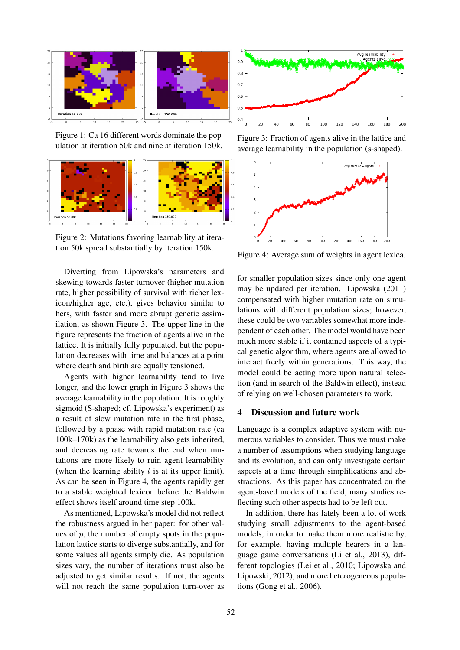

Figure 1: Ca 16 different words dominate the population at iteration 50k and nine at iteration 150k.



Figure 2: Mutations favoring learnability at iteration 50k spread substantially by iteration 150k.

Diverting from Lipowska's parameters and skewing towards faster turnover (higher mutation rate, higher possibility of survival with richer lexicon/higher age, etc.), gives behavior similar to hers, with faster and more abrupt genetic assimilation, as shown Figure 3. The upper line in the figure represents the fraction of agents alive in the lattice. It is initially fully populated, but the population decreases with time and balances at a point where death and birth are equally tensioned.

Agents with higher learnability tend to live longer, and the lower graph in Figure 3 shows the average learnability in the population. It is roughly sigmoid (S-shaped; cf. Lipowska's experiment) as a result of slow mutation rate in the first phase, followed by a phase with rapid mutation rate (ca 100k–170k) as the learnability also gets inherited, and decreasing rate towards the end when mutations are more likely to ruin agent learnability (when the learning ability  $l$  is at its upper limit). As can be seen in Figure 4, the agents rapidly get to a stable weighted lexicon before the Baldwin effect shows itself around time step 100k.

As mentioned, Lipowska's model did not reflect the robustness argued in her paper: for other values of  $p$ , the number of empty spots in the population lattice starts to diverge substantially, and for some values all agents simply die. As population sizes vary, the number of iterations must also be adjusted to get similar results. If not, the agents will not reach the same population turn-over as



Figure 3: Fraction of agents alive in the lattice and average learnability in the population (s-shaped).



Figure 4: Average sum of weights in agent lexica.

for smaller population sizes since only one agent may be updated per iteration. Lipowska (2011) compensated with higher mutation rate on simulations with different population sizes; however, these could be two variables somewhat more independent of each other. The model would have been much more stable if it contained aspects of a typical genetic algorithm, where agents are allowed to interact freely within generations. This way, the model could be acting more upon natural selection (and in search of the Baldwin effect), instead of relying on well-chosen parameters to work.

## 4 Discussion and future work

Language is a complex adaptive system with numerous variables to consider. Thus we must make a number of assumptions when studying language and its evolution, and can only investigate certain aspects at a time through simplifications and abstractions. As this paper has concentrated on the agent-based models of the field, many studies reflecting such other aspects had to be left out.

In addition, there has lately been a lot of work studying small adjustments to the agent-based models, in order to make them more realistic by, for example, having multiple hearers in a language game conversations (Li et al., 2013), different topologies (Lei et al., 2010; Lipowska and Lipowski, 2012), and more heterogeneous populations (Gong et al., 2006).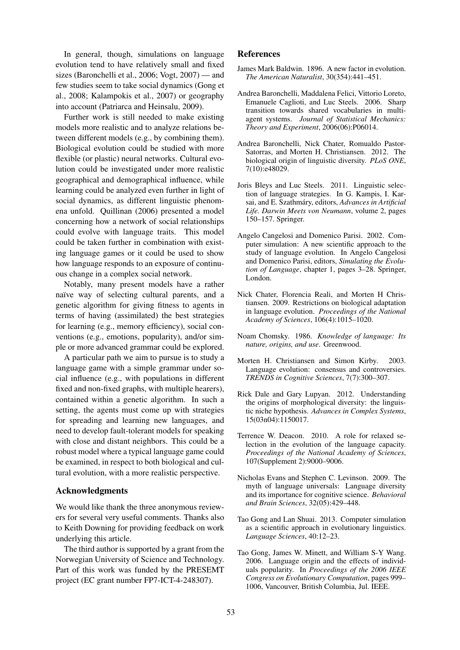In general, though, simulations on language evolution tend to have relatively small and fixed sizes (Baronchelli et al., 2006; Vogt, 2007) — and few studies seem to take social dynamics (Gong et al., 2008; Kalampokis et al., 2007) or geography into account (Patriarca and Heinsalu, 2009).

Further work is still needed to make existing models more realistic and to analyze relations between different models (e.g., by combining them). Biological evolution could be studied with more flexible (or plastic) neural networks. Cultural evolution could be investigated under more realistic geographical and demographical influence, while learning could be analyzed even further in light of social dynamics, as different linguistic phenomena unfold. Quillinan (2006) presented a model concerning how a network of social relationships could evolve with language traits. This model could be taken further in combination with existing language games or it could be used to show how language responds to an exposure of continuous change in a complex social network.

Notably, many present models have a rather naïve way of selecting cultural parents, and a genetic algorithm for giving fitness to agents in terms of having (assimilated) the best strategies for learning (e.g., memory efficiency), social conventions (e.g., emotions, popularity), and/or simple or more advanced grammar could be explored.

A particular path we aim to pursue is to study a language game with a simple grammar under social influence (e.g., with populations in different fixed and non-fixed graphs, with multiple hearers), contained within a genetic algorithm. In such a setting, the agents must come up with strategies for spreading and learning new languages, and need to develop fault-tolerant models for speaking with close and distant neighbors. This could be a robust model where a typical language game could be examined, in respect to both biological and cultural evolution, with a more realistic perspective.

## Acknowledgments

We would like thank the three anonymous reviewers for several very useful comments. Thanks also to Keith Downing for providing feedback on work underlying this article.

The third author is supported by a grant from the Norwegian University of Science and Technology. Part of this work was funded by the PRESEMT project (EC grant number FP7-ICT-4-248307).

#### References

- James Mark Baldwin. 1896. A new factor in evolution. *The American Naturalist*, 30(354):441–451.
- Andrea Baronchelli, Maddalena Felici, Vittorio Loreto, Emanuele Caglioti, and Luc Steels. 2006. Sharp transition towards shared vocabularies in multiagent systems. *Journal of Statistical Mechanics: Theory and Experiment*, 2006(06):P06014.
- Andrea Baronchelli, Nick Chater, Romualdo Pastor-Satorras, and Morten H. Christiansen. 2012. The biological origin of linguistic diversity. *PLoS ONE*, 7(10):e48029.
- Joris Bleys and Luc Steels. 2011. Linguistic selection of language strategies. In G. Kampis, I. Karsai, and E. Szathmáry, editors, Advances in Artificial *Life. Darwin Meets von Neumann*, volume 2, pages 150–157. Springer.
- Angelo Cangelosi and Domenico Parisi. 2002. Computer simulation: A new scientific approach to the study of language evolution. In Angelo Cangelosi and Domenico Parisi, editors, *Simulating the Evolution of Language*, chapter 1, pages 3–28. Springer, London.
- Nick Chater, Florencia Reali, and Morten H Christiansen. 2009. Restrictions on biological adaptation in language evolution. *Proceedings of the National Academy of Sciences*, 106(4):1015–1020.
- Noam Chomsky. 1986. *Knowledge of language: Its nature, origins, and use*. Greenwood.
- Morten H. Christiansen and Simon Kirby. 2003. Language evolution: consensus and controversies. *TRENDS in Cognitive Sciences*, 7(7):300–307.
- Rick Dale and Gary Lupyan. 2012. Understanding the origins of morphological diversity: the linguistic niche hypothesis. *Advances in Complex Systems*, 15(03n04):1150017.
- Terrence W. Deacon. 2010. A role for relaxed selection in the evolution of the language capacity. *Proceedings of the National Academy of Sciences*, 107(Supplement 2):9000–9006.
- Nicholas Evans and Stephen C. Levinson. 2009. The myth of language universals: Language diversity and its importance for cognitive science. *Behavioral and Brain Sciences*, 32(05):429–448.
- Tao Gong and Lan Shuai. 2013. Computer simulation as a scientific approach in evolutionary linguistics. *Language Sciences*, 40:12–23.
- Tao Gong, James W. Minett, and William S-Y Wang. 2006. Language origin and the effects of individuals popularity. In *Proceedings of the 2006 IEEE Congress on Evolutionary Computation*, pages 999– 1006, Vancouver, British Columbia, Jul. IEEE.